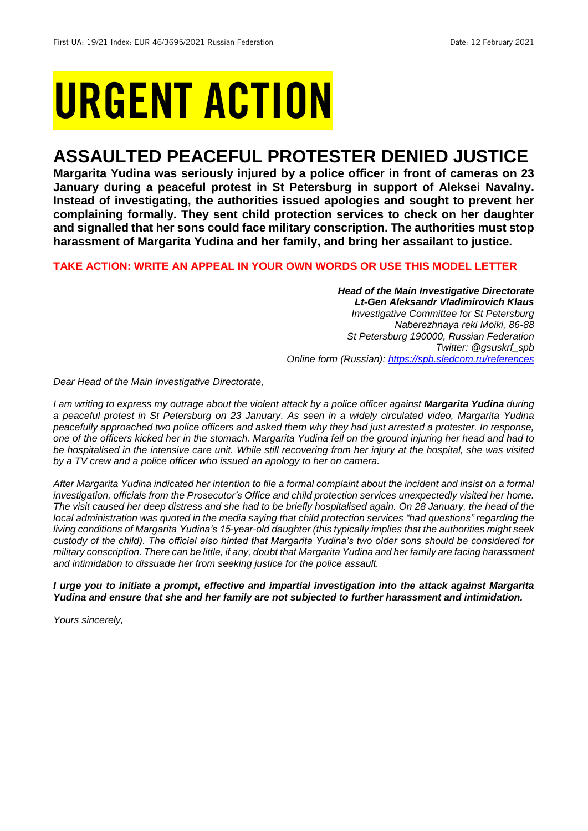# URGENT ACTION

## **ASSAULTED PEACEFUL PROTESTER DENIED JUSTICE**

**Margarita Yudina was seriously injured by a police officer in front of cameras on 23 January during a peaceful protest in St Petersburg in support of Aleksei Navalny. Instead of investigating, the authorities issued apologies and sought to prevent her complaining formally. They sent child protection services to check on her daughter and signalled that her sons could face military conscription. The authorities must stop harassment of Margarita Yudina and her family, and bring her assailant to justice.**

## **TAKE ACTION: WRITE AN APPEAL IN YOUR OWN WORDS OR USE THIS MODEL LETTER**

*Head of the Main Investigative Directorate Lt-Gen Aleksandr Vladimirovich Klaus Investigative Committee for St Petersburg Naberezhnaya reki Moiki, 86-88 St Petersburg 190000, Russian Federation Twitter: @gsuskrf\_spb Online form (Russian):<https://spb.sledcom.ru/references>*

*Dear Head of the Main Investigative Directorate,*

*I am writing to express my outrage about the violent attack by a police officer against Margarita Yudina during a peaceful protest in St Petersburg on 23 January. As seen in a widely circulated video, Margarita Yudina peacefully approached two police officers and asked them why they had just arrested a protester. In response, one of the officers kicked her in the stomach. Margarita Yudina fell on the ground injuring her head and had to be hospitalised in the intensive care unit. While still recovering from her injury at the hospital, she was visited by a TV crew and a police officer who issued an apology to her on camera.*

*After Margarita Yudina indicated her intention to file a formal complaint about the incident and insist on a formal investigation, officials from the Prosecutor's Office and child protection services unexpectedly visited her home. The visit caused her deep distress and she had to be briefly hospitalised again. On 28 January, the head of the local administration was quoted in the media saying that child protection services "had questions" regarding the living conditions of Margarita Yudina's 15-year-old daughter (this typically implies that the authorities might seek custody of the child). The official also hinted that Margarita Yudina's two older sons should be considered for military conscription. There can be little, if any, doubt that Margarita Yudina and her family are facing harassment and intimidation to dissuade her from seeking justice for the police assault.* 

*I urge you to initiate a prompt, effective and impartial investigation into the attack against Margarita Yudina and ensure that she and her family are not subjected to further harassment and intimidation.* 

*Yours sincerely,*